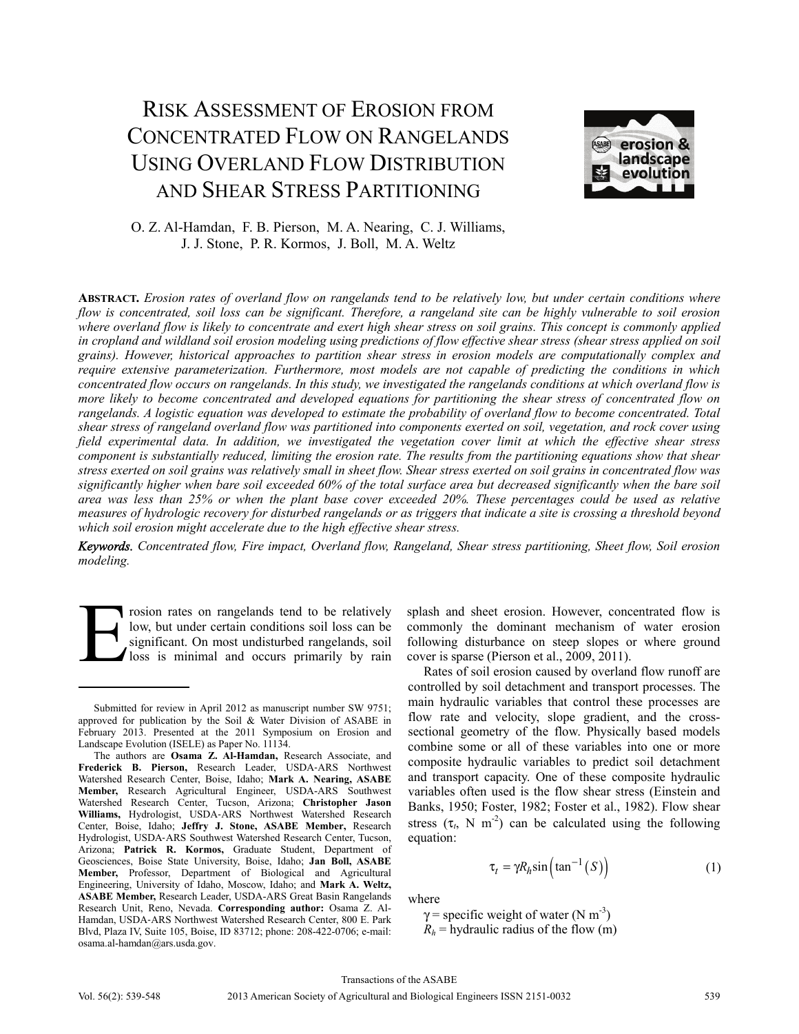# RISK ASSESSMENT OF EROSION FROM CONCENTRATED FLOW ON RANGELANDS USING OVERLAND FLOW DISTRIBUTION AND SHEAR STRESS PARTITIONING



# O. Z. Al-Hamdan, F. B. Pierson, M. A. Nearing, C. J. Williams, J. J. Stone, P. R. Kormos, J. Boll, M. A. Weltz

**ABSTRACT.** *Erosion rates of overland flow on rangelands tend to be relatively low, but under certain conditions where flow is concentrated, soil loss can be significant. Therefore, a rangeland site can be highly vulnerable to soil erosion where overland flow is likely to concentrate and exert high shear stress on soil grains. This concept is commonly applied in cropland and wildland soil erosion modeling using predictions of flow effective shear stress (shear stress applied on soil grains). However, historical approaches to partition shear stress in erosion models are computationally complex and require extensive parameterization. Furthermore, most models are not capable of predicting the conditions in which concentrated flow occurs on rangelands. In this study, we investigated the rangelands conditions at which overland flow is more likely to become concentrated and developed equations for partitioning the shear stress of concentrated flow on rangelands. A logistic equation was developed to estimate the probability of overland flow to become concentrated. Total shear stress of rangeland overland flow was partitioned into components exerted on soil, vegetation, and rock cover using field experimental data. In addition, we investigated the vegetation cover limit at which the effective shear stress component is substantially reduced, limiting the erosion rate. The results from the partitioning equations show that shear stress exerted on soil grains was relatively small in sheet flow. Shear stress exerted on soil grains in concentrated flow was significantly higher when bare soil exceeded 60% of the total surface area but decreased significantly when the bare soil area was less than 25% or when the plant base cover exceeded 20%. These percentages could be used as relative measures of hydrologic recovery for disturbed rangelands or as triggers that indicate a site is crossing a threshold beyond which soil erosion might accelerate due to the high effective shear stress.* 

*Keywords. Concentrated flow, Fire impact, Overland flow, Rangeland, Shear stress partitioning, Sheet flow, Soil erosion modeling.* 

rosion rates on rangelands tend to be relatively low, but under certain conditions soil loss can be significant. On most undisturbed rangelands, soil loss is minimal and occurs primarily by rain E

splash and sheet erosion. However, concentrated flow is commonly the dominant mechanism of water erosion following disturbance on steep slopes or where ground cover is sparse (Pierson et al., 2009, 2011).

Rates of soil erosion caused by overland flow runoff are controlled by soil detachment and transport processes. The main hydraulic variables that control these processes are flow rate and velocity, slope gradient, and the crosssectional geometry of the flow. Physically based models combine some or all of these variables into one or more composite hydraulic variables to predict soil detachment and transport capacity. One of these composite hydraulic variables often used is the flow shear stress (Einstein and Banks, 1950; Foster, 1982; Foster et al., 1982). Flow shear stress  $(\tau_t$ , N m<sup>-2</sup>) can be calculated using the following equation:

$$
\tau_t = \gamma R_h \sin\left(\tan^{-1}\left(S\right)\right) \tag{1}
$$

where

 $\gamma$  = specific weight of water (N m<sup>-3</sup>)  $R_h$  = hydraulic radius of the flow (m)

Submitted for review in April 2012 as manuscript number SW 9751; approved for publication by the Soil & Water Division of ASABE in February 2013. Presented at the 2011 Symposium on Erosion and Landscape Evolution (ISELE) as Paper No. 11134.

The authors are **Osama Z. Al-Hamdan,** Research Associate, and **Frederick B. Pierson,** Research Leader, USDA-ARS Northwest Watershed Research Center, Boise, Idaho; **Mark A. Nearing, ASABE Member,** Research Agricultural Engineer, USDA-ARS Southwest Watershed Research Center, Tucson, Arizona; **Christopher Jason Williams,** Hydrologist, USDA-ARS Northwest Watershed Research Center, Boise, Idaho; **Jeffry J. Stone, ASABE Member,** Research Hydrologist, USDA-ARS Southwest Watershed Research Center, Tucson, Arizona; **Patrick R. Kormos,** Graduate Student, Department of Geosciences, Boise State University, Boise, Idaho; **Jan Boll, ASABE Member,** Professor, Department of Biological and Agricultural Engineering, University of Idaho, Moscow, Idaho; and **Mark A. Weltz, ASABE Member,** Research Leader, USDA-ARS Great Basin Rangelands Research Unit, Reno, Nevada. **Corresponding author:** Osama Z. Al-Hamdan, USDA-ARS Northwest Watershed Research Center, 800 E. Park Blvd, Plaza IV, Suite 105, Boise, ID 83712; phone: 208-422-0706; e-mail: osama.al-hamdan@ars.usda.gov.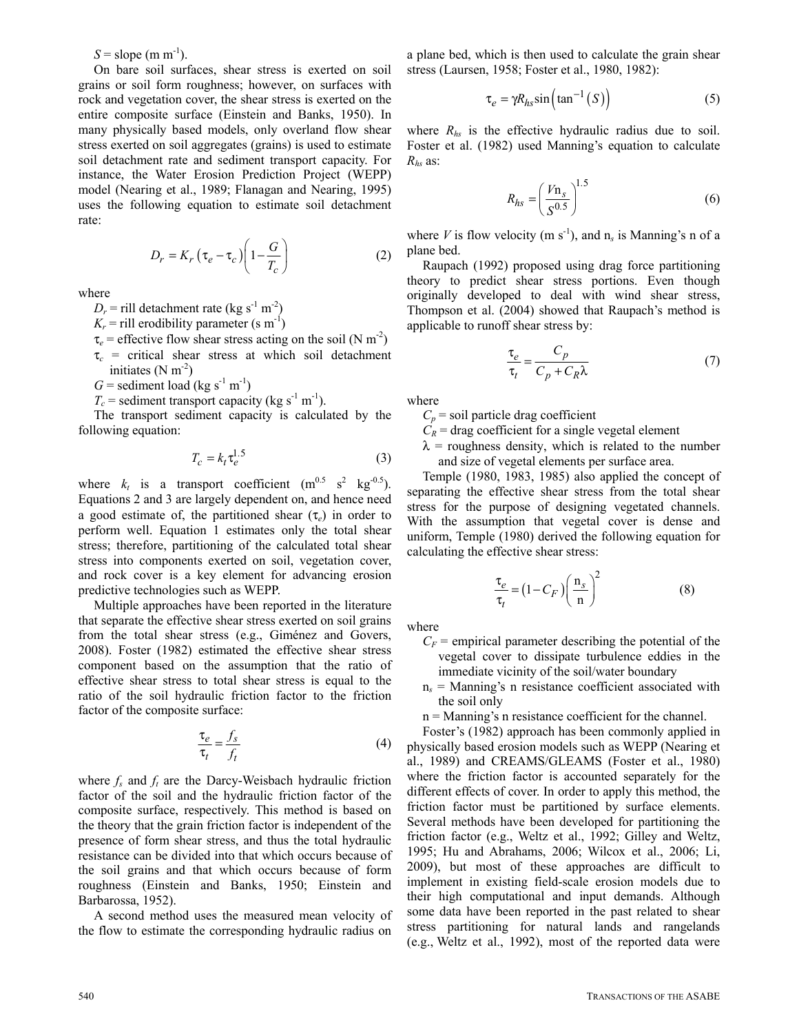$S =$ slope (m m<sup>-1</sup>).

On bare soil surfaces, shear stress is exerted on soil grains or soil form roughness; however, on surfaces with rock and vegetation cover, the shear stress is exerted on the entire composite surface (Einstein and Banks, 1950). In many physically based models, only overland flow shear stress exerted on soil aggregates (grains) is used to estimate soil detachment rate and sediment transport capacity. For instance, the Water Erosion Prediction Project (WEPP) model (Nearing et al., 1989; Flanagan and Nearing, 1995) uses the following equation to estimate soil detachment rate:

$$
D_r = K_r \left(\tau_e - \tau_c\right) \left(1 - \frac{G}{T_c}\right) \tag{2}
$$

where

 $D_r$  = rill detachment rate (kg s<sup>-1</sup> m<sup>-2</sup>)

 $K_r$  = rill erodibility parameter (s m<sup>-1</sup>)

- $\tau_e$  = effective flow shear stress acting on the soil (N m<sup>-2</sup>)
- $\tau_c$  = critical shear stress at which soil detachment initiates  $(N m<sup>-2</sup>)$
- $G =$  sediment load (kg s<sup>-1</sup> m<sup>-1</sup>)
- $T_c$  = sediment transport capacity (kg s<sup>-1</sup> m<sup>-1</sup>).

The transport sediment capacity is calculated by the following equation:

$$
T_c = k_t \tau_e^{1.5} \tag{3}
$$

where  $k_t$  is a transport coefficient  $(m^{0.5} s^2 kg^{-0.5})$ . Equations 2 and 3 are largely dependent on, and hence need a good estimate of, the partitioned shear (τ*e*) in order to perform well. Equation 1 estimates only the total shear stress; therefore, partitioning of the calculated total shear stress into components exerted on soil, vegetation cover, and rock cover is a key element for advancing erosion predictive technologies such as WEPP.

Multiple approaches have been reported in the literature that separate the effective shear stress exerted on soil grains from the total shear stress (e.g., Giménez and Govers, 2008). Foster (1982) estimated the effective shear stress component based on the assumption that the ratio of effective shear stress to total shear stress is equal to the ratio of the soil hydraulic friction factor to the friction factor of the composite surface:

$$
\frac{\tau_e}{\tau_t} = \frac{f_s}{f_t} \tag{4}
$$

where  $f_s$  and  $f_t$  are the Darcy-Weisbach hydraulic friction factor of the soil and the hydraulic friction factor of the composite surface, respectively. This method is based on the theory that the grain friction factor is independent of the presence of form shear stress, and thus the total hydraulic resistance can be divided into that which occurs because of the soil grains and that which occurs because of form roughness (Einstein and Banks, 1950; Einstein and Barbarossa, 1952).

A second method uses the measured mean velocity of the flow to estimate the corresponding hydraulic radius on

a plane bed, which is then used to calculate the grain shear stress (Laursen, 1958; Foster et al., 1980, 1982):

$$
\tau_e = \gamma R_{hs} \sin\left(\tan^{-1}(S)\right) \tag{5}
$$

where  $R_{hs}$  is the effective hydraulic radius due to soil. Foster et al. (1982) used Manning's equation to calculate *Rhs* as:

$$
R_{hs} = \left(\frac{Vn_s}{S^{0.5}}\right)^{1.5} \tag{6}
$$

where *V* is flow velocity (m s<sup>-1</sup>), and  $n_s$  is Manning's n of a plane bed.

Raupach (1992) proposed using drag force partitioning theory to predict shear stress portions. Even though originally developed to deal with wind shear stress, Thompson et al. (2004) showed that Raupach's method is applicable to runoff shear stress by:

$$
\frac{\tau_e}{\tau_t} = \frac{C_p}{C_p + C_R \lambda} \tag{7}
$$

where

 $C_p$  = soil particle drag coefficient

 $C_R$  = drag coefficient for a single vegetal element

 $\lambda$  = roughness density, which is related to the number and size of vegetal elements per surface area.

Temple (1980, 1983, 1985) also applied the concept of separating the effective shear stress from the total shear stress for the purpose of designing vegetated channels. With the assumption that vegetal cover is dense and uniform, Temple (1980) derived the following equation for calculating the effective shear stress:

$$
\frac{\tau_e}{\tau_t} = (1 - C_F) \left(\frac{n_s}{n}\right)^2 \tag{8}
$$

where

- $C_F$  = empirical parameter describing the potential of the vegetal cover to dissipate turbulence eddies in the immediate vicinity of the soil/water boundary
- n*s* = Manning's n resistance coefficient associated with the soil only

n = Manning's n resistance coefficient for the channel.

Foster's (1982) approach has been commonly applied in physically based erosion models such as WEPP (Nearing et al., 1989) and CREAMS/GLEAMS (Foster et al., 1980) where the friction factor is accounted separately for the different effects of cover. In order to apply this method, the friction factor must be partitioned by surface elements. Several methods have been developed for partitioning the friction factor (e.g., Weltz et al., 1992; Gilley and Weltz, 1995; Hu and Abrahams, 2006; Wilcox et al., 2006; Li, 2009), but most of these approaches are difficult to implement in existing field-scale erosion models due to their high computational and input demands. Although some data have been reported in the past related to shear stress partitioning for natural lands and rangelands (e.g., Weltz et al., 1992), most of the reported data were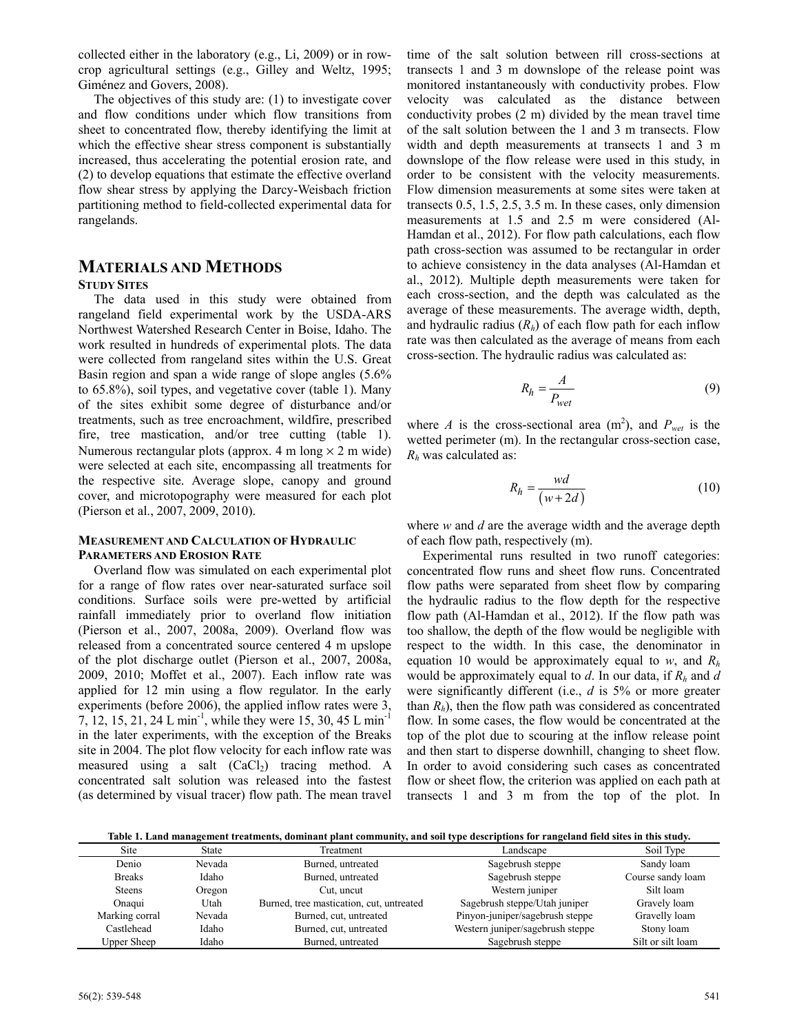collected either in the laboratory (e.g., Li, 2009) or in rowcrop agricultural settings (e.g., Gilley and Weltz, 1995; Giménez and Govers, 2008).

The objectives of this study are: (1) to investigate cover and flow conditions under which flow transitions from sheet to concentrated flow, thereby identifying the limit at which the effective shear stress component is substantially increased, thus accelerating the potential erosion rate, and (2) to develop equations that estimate the effective overland flow shear stress by applying the Darcy-Weisbach friction partitioning method to field-collected experimental data for rangelands.

# **MATERIALS AND METHODS**

#### **STUDY SITES**

The data used in this study were obtained from rangeland field experimental work by the USDA-ARS Northwest Watershed Research Center in Boise, Idaho. The work resulted in hundreds of experimental plots. The data were collected from rangeland sites within the U.S. Great Basin region and span a wide range of slope angles (5.6% to 65.8%), soil types, and vegetative cover (table 1). Many of the sites exhibit some degree of disturbance and/or treatments, such as tree encroachment, wildfire, prescribed fire, tree mastication, and/or tree cutting (table 1). Numerous rectangular plots (approx. 4 m long  $\times$  2 m wide) were selected at each site, encompassing all treatments for the respective site. Average slope, canopy and ground cover, and microtopography were measured for each plot (Pierson et al., 2007, 2009, 2010).

#### **MEASUREMENT AND CALCULATION OF HYDRAULIC PARAMETERS AND EROSION RATE**

Overland flow was simulated on each experimental plot for a range of flow rates over near-saturated surface soil conditions. Surface soils were pre-wetted by artificial rainfall immediately prior to overland flow initiation (Pierson et al., 2007, 2008a, 2009). Overland flow was released from a concentrated source centered 4 m upslope of the plot discharge outlet (Pierson et al., 2007, 2008a, 2009, 2010; Moffet et al., 2007). Each inflow rate was applied for 12 min using a flow regulator. In the early experiments (before 2006), the applied inflow rates were 3, 7, 12, 15, 21, 24 L min<sup>-1</sup>, while they were 15, 30, 45 L min<sup>-1</sup> in the later experiments, with the exception of the Breaks site in 2004. The plot flow velocity for each inflow rate was measured using a salt  $(CaCl<sub>2</sub>)$  tracing method. A concentrated salt solution was released into the fastest (as determined by visual tracer) flow path. The mean travel

time of the salt solution between rill cross-sections at transects 1 and 3 m downslope of the release point was monitored instantaneously with conductivity probes. Flow velocity was calculated as the distance between conductivity probes (2 m) divided by the mean travel time of the salt solution between the 1 and 3 m transects. Flow width and depth measurements at transects 1 and 3 m downslope of the flow release were used in this study, in order to be consistent with the velocity measurements. Flow dimension measurements at some sites were taken at transects 0.5, 1.5, 2.5, 3.5 m. In these cases, only dimension measurements at 1.5 and 2.5 m were considered (Al-Hamdan et al., 2012). For flow path calculations, each flow path cross-section was assumed to be rectangular in order to achieve consistency in the data analyses (Al-Hamdan et al., 2012). Multiple depth measurements were taken for each cross-section, and the depth was calculated as the average of these measurements. The average width, depth, and hydraulic radius  $(R<sub>h</sub>)$  of each flow path for each inflow rate was then calculated as the average of means from each cross-section. The hydraulic radius was calculated as:

$$
R_h = \frac{A}{P_{wet}}\tag{9}
$$

where *A* is the cross-sectional area  $(m^2)$ , and  $P_{wet}$  is the wetted perimeter (m). In the rectangular cross-section case, *Rh* was calculated as:

$$
R_h = \frac{wd}{(w + 2d)}\tag{10}
$$

where *w* and *d* are the average width and the average depth of each flow path, respectively (m).

Experimental runs resulted in two runoff categories: concentrated flow runs and sheet flow runs. Concentrated flow paths were separated from sheet flow by comparing the hydraulic radius to the flow depth for the respective flow path (Al-Hamdan et al., 2012). If the flow path was too shallow, the depth of the flow would be negligible with respect to the width. In this case, the denominator in equation 10 would be approximately equal to *w*, and *Rh* would be approximately equal to *d*. In our data, if *Rh* and *d* were significantly different (i.e., *d* is 5% or more greater than  $R_h$ ), then the flow path was considered as concentrated flow. In some cases, the flow would be concentrated at the top of the plot due to scouring at the inflow release point and then start to disperse downhill, changing to sheet flow. In order to avoid considering such cases as concentrated flow or sheet flow, the criterion was applied on each path at transects 1 and 3 m from the top of the plot. In

**Table 1. Land management treatments, dominant plant community, and soil type descriptions for rangeland field sites in this study.** 

| <b>Site</b>        | State  | Treatment                                | Landscape                        | Soil Type         |
|--------------------|--------|------------------------------------------|----------------------------------|-------------------|
| Denio              | Nevada | Burned, untreated                        | Sagebrush steppe                 | Sandy loam        |
| <b>Breaks</b>      | Idaho  | Burned, untreated                        | Sagebrush steppe                 | Course sandy loam |
| <b>Steens</b>      | Oregon | Cut, uncut                               | Western juniper                  | Silt loam         |
| Onaqui             | Utah   | Burned, tree mastication, cut, untreated | Sagebrush steppe/Utah juniper    | Gravely loam      |
| Marking corral     | Nevada | Burned, cut, untreated                   | Pinyon-juniper/sagebrush steppe  | Gravelly loam     |
| Castlehead         | Idaho  | Burned, cut, untreated                   | Western juniper/sagebrush steppe | Stony loam        |
| <b>Upper Sheep</b> | Idaho  | Burned, untreated                        | Sagebrush steppe                 | Silt or silt loam |
|                    |        |                                          |                                  |                   |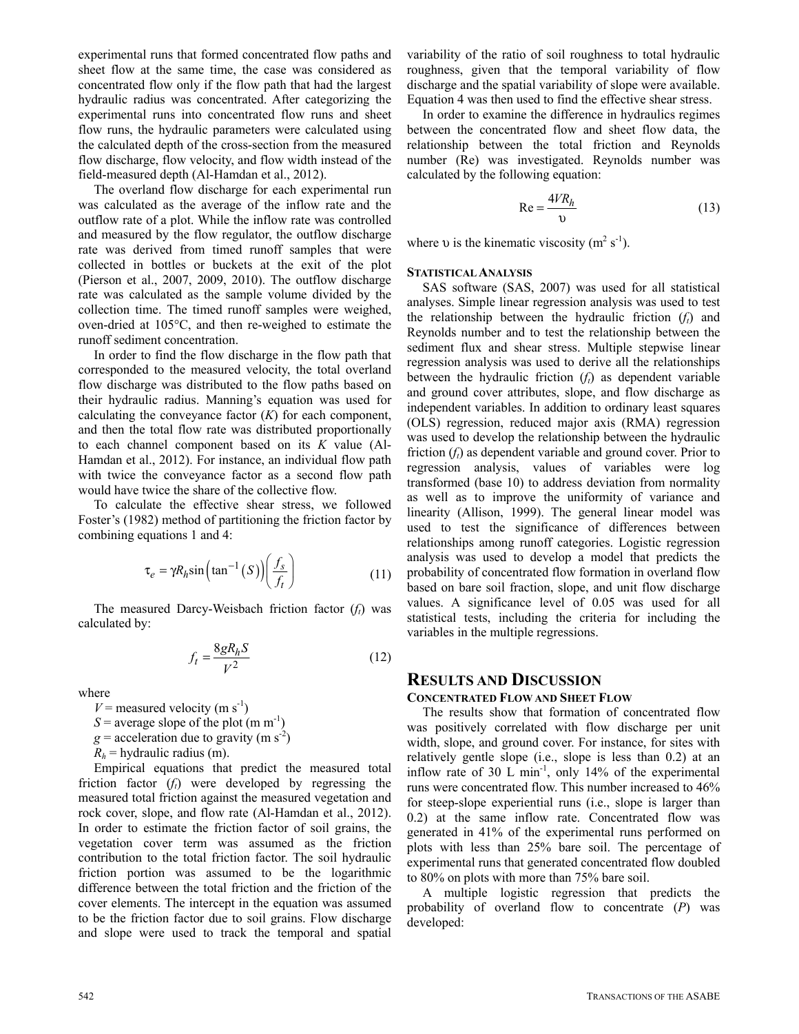experimental runs that formed concentrated flow paths and sheet flow at the same time, the case was considered as concentrated flow only if the flow path that had the largest hydraulic radius was concentrated. After categorizing the experimental runs into concentrated flow runs and sheet flow runs, the hydraulic parameters were calculated using the calculated depth of the cross-section from the measured flow discharge, flow velocity, and flow width instead of the field-measured depth (Al-Hamdan et al., 2012).

The overland flow discharge for each experimental run was calculated as the average of the inflow rate and the outflow rate of a plot. While the inflow rate was controlled and measured by the flow regulator, the outflow discharge rate was derived from timed runoff samples that were collected in bottles or buckets at the exit of the plot (Pierson et al., 2007, 2009, 2010). The outflow discharge rate was calculated as the sample volume divided by the collection time. The timed runoff samples were weighed, oven-dried at 105°C, and then re-weighed to estimate the runoff sediment concentration.

In order to find the flow discharge in the flow path that corresponded to the measured velocity, the total overland flow discharge was distributed to the flow paths based on their hydraulic radius. Manning's equation was used for calculating the conveyance factor (*K*) for each component, and then the total flow rate was distributed proportionally to each channel component based on its *K* value (Al-Hamdan et al., 2012). For instance, an individual flow path with twice the conveyance factor as a second flow path would have twice the share of the collective flow.

To calculate the effective shear stress, we followed Foster's (1982) method of partitioning the friction factor by combining equations 1 and 4:

$$
\tau_e = \gamma R_h \sin\left(\tan^{-1}\left(S\right)\right) \left(\frac{f_s}{f_t}\right) \tag{11}
$$

The measured Darcy-Weisbach friction factor  $(f_t)$  was calculated by:

$$
f_t = \frac{8gR_hS}{V^2} \tag{12}
$$

where

 $V =$  measured velocity (m s<sup>-1</sup>)  $S =$  average slope of the plot (m m<sup>-1</sup>)  $g =$  acceleration due to gravity (m s<sup>-2</sup>)  $R_h$  = hydraulic radius (m).

Empirical equations that predict the measured total friction factor  $(f_t)$  were developed by regressing the measured total friction against the measured vegetation and rock cover, slope, and flow rate (Al-Hamdan et al., 2012). In order to estimate the friction factor of soil grains, the vegetation cover term was assumed as the friction contribution to the total friction factor. The soil hydraulic friction portion was assumed to be the logarithmic difference between the total friction and the friction of the cover elements. The intercept in the equation was assumed to be the friction factor due to soil grains. Flow discharge and slope were used to track the temporal and spatial

variability of the ratio of soil roughness to total hydraulic roughness, given that the temporal variability of flow discharge and the spatial variability of slope were available. Equation 4 was then used to find the effective shear stress.

In order to examine the difference in hydraulics regimes between the concentrated flow and sheet flow data, the relationship between the total friction and Reynolds number (Re) was investigated. Reynolds number was calculated by the following equation:

$$
Re = \frac{4VR_h}{v}
$$
 (13)

where v is the kinematic viscosity  $(m^2 s^1)$ .

## **STATISTICAL ANALYSIS**

SAS software (SAS, 2007) was used for all statistical analyses. Simple linear regression analysis was used to test the relationship between the hydraulic friction  $(f_t)$  and Reynolds number and to test the relationship between the sediment flux and shear stress. Multiple stepwise linear regression analysis was used to derive all the relationships between the hydraulic friction  $(f_t)$  as dependent variable and ground cover attributes, slope, and flow discharge as independent variables. In addition to ordinary least squares (OLS) regression, reduced major axis (RMA) regression was used to develop the relationship between the hydraulic friction  $(f_t)$  as dependent variable and ground cover. Prior to regression analysis, values of variables were log transformed (base 10) to address deviation from normality as well as to improve the uniformity of variance and linearity (Allison, 1999). The general linear model was used to test the significance of differences between relationships among runoff categories. Logistic regression analysis was used to develop a model that predicts the probability of concentrated flow formation in overland flow based on bare soil fraction, slope, and unit flow discharge values. A significance level of 0.05 was used for all statistical tests, including the criteria for including the variables in the multiple regressions.

## **RESULTS AND DISCUSSION**

## **CONCENTRATED FLOW AND SHEET FLOW**

The results show that formation of concentrated flow was positively correlated with flow discharge per unit width, slope, and ground cover. For instance, for sites with relatively gentle slope (i.e., slope is less than 0.2) at an inflow rate of 30 L min<sup>-1</sup>, only 14% of the experimental runs were concentrated flow. This number increased to 46% for steep-slope experiential runs (i.e., slope is larger than 0.2) at the same inflow rate. Concentrated flow was generated in 41% of the experimental runs performed on plots with less than 25% bare soil. The percentage of experimental runs that generated concentrated flow doubled to 80% on plots with more than 75% bare soil.

A multiple logistic regression that predicts the probability of overland flow to concentrate (*P*) was developed: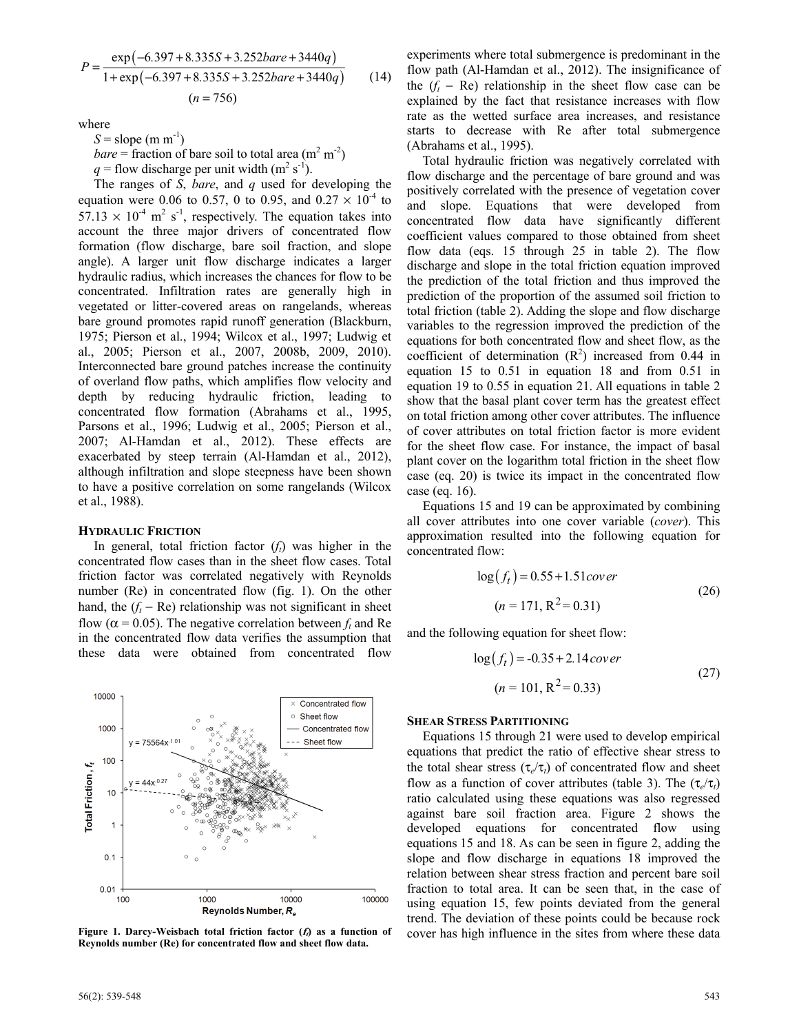$$
P = \frac{\exp(-6.397 + 8.335S + 3.252bare + 3440q)}{1 + \exp(-6.397 + 8.335S + 3.252bare + 3440q)}
$$
(14)  
(*n* = 756)

where

 $S =$ slope (m m<sup>-1</sup>) *bare* = fraction of bare soil to total area  $(m^2 m^2)$ 

 $q =$  flow discharge per unit width (m<sup>2</sup> s<sup>-1</sup>).

The ranges of *S*, *bare*, and *q* used for developing the equation were 0.06 to 0.57, 0 to 0.95, and 0.27  $\times$  10<sup>-4</sup> to  $57.13 \times 10^{-4}$  m<sup>2</sup> s<sup>-1</sup>, respectively. The equation takes into account the three major drivers of concentrated flow formation (flow discharge, bare soil fraction, and slope angle). A larger unit flow discharge indicates a larger hydraulic radius, which increases the chances for flow to be concentrated. Infiltration rates are generally high in vegetated or litter-covered areas on rangelands, whereas bare ground promotes rapid runoff generation (Blackburn, 1975; Pierson et al., 1994; Wilcox et al., 1997; Ludwig et al., 2005; Pierson et al., 2007, 2008b, 2009, 2010). Interconnected bare ground patches increase the continuity of overland flow paths, which amplifies flow velocity and depth by reducing hydraulic friction, leading to concentrated flow formation (Abrahams et al., 1995, Parsons et al., 1996; Ludwig et al., 2005; Pierson et al., 2007; Al-Hamdan et al., 2012). These effects are exacerbated by steep terrain (Al-Hamdan et al., 2012), although infiltration and slope steepness have been shown to have a positive correlation on some rangelands (Wilcox et al., 1988).

#### **HYDRAULIC FRICTION**

In general, total friction factor  $(f_t)$  was higher in the concentrated flow cases than in the sheet flow cases. Total friction factor was correlated negatively with Reynolds number (Re) in concentrated flow (fig. 1). On the other hand, the  $(f_t - Re)$  relationship was not significant in sheet flow ( $\alpha$  = 0.05). The negative correlation between  $f_t$  and Re in the concentrated flow data verifies the assumption that these data were obtained from concentrated flow



**Reynolds number (Re) for concentrated flow and sheet flow data.** 

experiments where total submergence is predominant in the flow path (Al-Hamdan et al., 2012). The insignificance of the  $(f_t - Re)$  relationship in the sheet flow case can be explained by the fact that resistance increases with flow rate as the wetted surface area increases, and resistance starts to decrease with Re after total submergence (Abrahams et al., 1995).

Total hydraulic friction was negatively correlated with flow discharge and the percentage of bare ground and was positively correlated with the presence of vegetation cover and slope. Equations that were developed from concentrated flow data have significantly different coefficient values compared to those obtained from sheet flow data (eqs. 15 through 25 in table 2). The flow discharge and slope in the total friction equation improved the prediction of the total friction and thus improved the prediction of the proportion of the assumed soil friction to total friction (table 2). Adding the slope and flow discharge variables to the regression improved the prediction of the equations for both concentrated flow and sheet flow, as the coefficient of determination  $(R^2)$  increased from 0.44 in equation 15 to 0.51 in equation 18 and from 0.51 in equation 19 to 0.55 in equation 21. All equations in table 2 show that the basal plant cover term has the greatest effect on total friction among other cover attributes. The influence of cover attributes on total friction factor is more evident for the sheet flow case. For instance, the impact of basal plant cover on the logarithm total friction in the sheet flow case (eq. 20) is twice its impact in the concentrated flow case (eq. 16).

Equations 15 and 19 can be approximated by combining all cover attributes into one cover variable (*cover*). This approximation resulted into the following equation for concentrated flow:

$$
log(ft) = 0.55 + 1.51 cover
$$
  
(*n* = 171, R<sup>2</sup> = 0.31) (26)

and the following equation for sheet flow:

$$
log(ft) = -0.35 + 2.14 cover
$$
  
(*n* = 101, R<sup>2</sup> = 0.33) (27)

#### **SHEAR STRESS PARTITIONING**

Equations 15 through 21 were used to develop empirical equations that predict the ratio of effective shear stress to the total shear stress ( $\tau_e/\tau_t$ ) of concentrated flow and sheet flow as a function of cover attributes (table 3). The  $(\tau_e/\tau_t)$ ratio calculated using these equations was also regressed against bare soil fraction area. Figure 2 shows the developed equations for concentrated flow using equations 15 and 18. As can be seen in figure 2, adding the slope and flow discharge in equations 18 improved the relation between shear stress fraction and percent bare soil fraction to total area. It can be seen that, in the case of using equation 15, few points deviated from the general trend. The deviation of these points could be because rock **Figure 1. Darcy-Weisbach total friction factor (***t***) as a function of cover has high influence in the sites from where these data**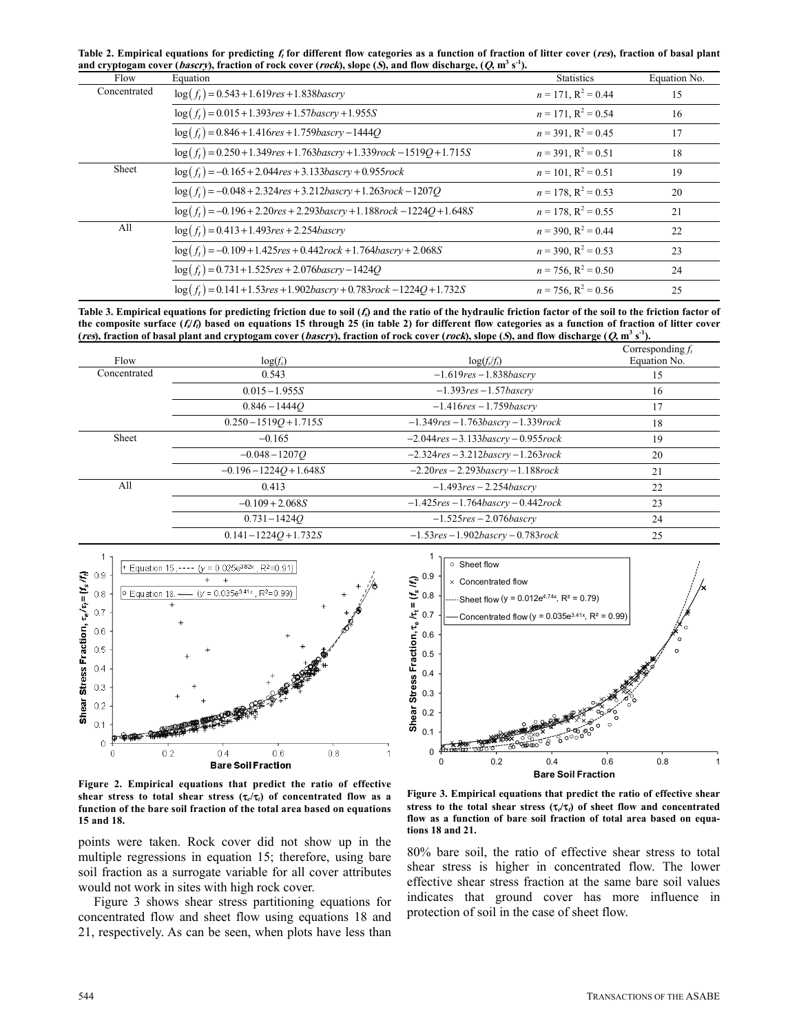**Table 2. Empirical equations for predicting <sup>f</sup>t for different flow categories as a function of fraction of litter cover (res), fraction of basal plant and cryptogam cover (bascry), fraction of rock cover (rock), slope (S), and flow discharge, (Q, m3 s-1).** 

| . .<br>Flow  | 。, , , ,<br>Equation                                                        | <b>Statistics</b>        | Equation No. |
|--------------|-----------------------------------------------------------------------------|--------------------------|--------------|
| Concentrated | $log(f_t) = 0.543 + 1.619$ res + 1.838b as cry                              | $n = 171$ , $R^2 = 0.44$ | 15           |
|              | $\log(f_t) = 0.015 + 1.393$ res + 1.57bascry + 1.955S                       | $n = 171$ , $R^2 = 0.54$ | 16           |
|              | $\log(f_t) = 0.846 + 1.416$ res + 1.759bascry - 1444Q                       | $n = 391$ , $R^2 = 0.45$ | 17           |
|              | $\log(f_t) = 0.250 + 1.349$ res + 1.763bascry + 1.339rock - 1519Q + 1.715S  | $n = 391$ , $R^2 = 0.51$ | 18           |
| Sheet        | $log(f_t) = -0.165 + 2.044$ res + 3.133bascry + 0.955rock                   | $n = 101$ , $R^2 = 0.51$ | 19           |
|              | $log(f_t) = -0.048 + 2.324$ res + 3.212bascry + 1.263rock - 1207Q           | $n = 178$ , $R^2 = 0.53$ | 20           |
|              | $\log(f_t) = -0.196 + 2.20res + 2.293 bascry + 1.188 rock - 1224Q + 1.648S$ | $n = 178$ , $R^2 = 0.55$ | 21           |
| All          | $log(f_t) = 0.413 + 1.493$ res + 2.254bascry                                | $n = 390$ , $R^2 = 0.44$ | 22           |
|              | $\log(f_t) = -0.109 + 1.425$ res + 0.442rock + 1.764bascry + 2.068S         | $n = 390$ , $R^2 = 0.53$ | 23           |
|              | $\log(f_t) = 0.731 + 1.525$ res + 2.076bascry - 1424Q                       | $n = 756$ , $R^2 = 0.50$ | 24           |
|              | $\log(f_t) = 0.141 + 1.53$ res + 1.902bascry + 0.783rock - 1224Q + 1.732S   | $n = 756$ , $R^2 = 0.56$ | 25           |

**Table 3. Empirical equations for predicting friction due to soil (<sup>f</sup>s) and the ratio of the hydraulic friction factor of the soil to the friction factor of** the composite surface  $(f/f)$  based on equations 15 through 25 (in table 2) for different flow categories as a function of fraction of litter cover (res), fraction of basal plant and cryptogam cover (bascry), fraction of rock cover (rock), slope (S), and flow discharge (Q, m<sup>3</sup> s<sup>-1</sup>).

| Flow         | $log(f_s)$                | $\log(f_s/f_t)$                            | Corresponding $f_t$<br>Equation No. |
|--------------|---------------------------|--------------------------------------------|-------------------------------------|
| Concentrated | 0.543                     | $-1.619$ res $-1.838$ bascry               | 15                                  |
|              | $0.015 - 1.955S$          | $-1.393$ res $-1.57$ bascrv                | 16                                  |
|              | $0.846 - 14440$           | $-1.416$ res $-1.759$ bascry               | 17                                  |
|              | $0.250 - 1519O + 1.715S$  | $-1.349$ res $-1.763$ bascry $-1.339$ rock | 18                                  |
| Sheet        | $-0.165$                  | $-2.044$ res $-3.133$ bascry $-0.955$ rock | 19                                  |
|              | $-0.048 - 1207O$          | $-2.324$ res $-3.212$ bascry $-1.263$ rock | 20                                  |
|              | $-0.196 - 1224O + 1.648S$ | $-2.20$ res $-2.293$ bascry $-1.188$ rock  | 21                                  |
| All          | 0.413                     | $-1.493$ res $-2.254$ bascrv               | 22                                  |
|              | $-0.109 + 2.068S$         | $-1.425$ res $-1.764$ bascry $-0.442$ rock | 23                                  |
|              | $0.731 - 14240$           | $-1.525$ res $-2.076$ bascrv               | 24                                  |
|              | $0.141 - 1224O + 1.732S$  | $-1.53$ res $-1.902$ bascry $-0.783$ rock  | 25                                  |





**Figure 2. Empirical equations that predict the ratio of effective** shear stress to total shear stress  $(\tau_e/\tau_i)$  of concentrated flow as a **function of the bare soil fraction of the total area based on equations 15 and 18.** 

points were taken. Rock cover did not show up in the multiple regressions in equation 15; therefore, using bare soil fraction as a surrogate variable for all cover attributes would not work in sites with high rock cover.

Figure 3 shows shear stress partitioning equations for concentrated flow and sheet flow using equations 18 and 21, respectively. As can be seen, when plots have less than

**Figure 3. Empirical equations that predict the ratio of effective shear**  stress to the total shear stress  $(\tau/\tau)$  of sheet flow and concentrated **flow as a function of bare soil fraction of total area based on equations 18 and 21.** 

80% bare soil, the ratio of effective shear stress to total shear stress is higher in concentrated flow. The lower effective shear stress fraction at the same bare soil values indicates that ground cover has more influence in protection of soil in the case of sheet flow.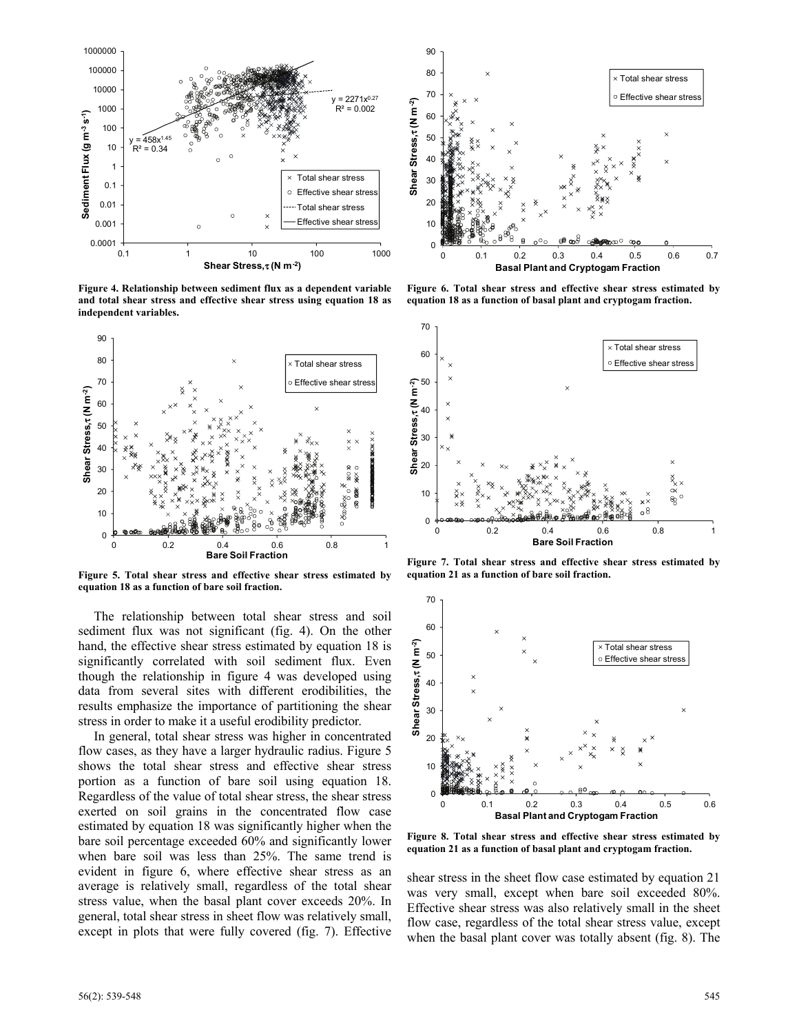

**Figure 4. Relationship between sediment flux as a dependent variable and total shear stress and effective shear stress using equation 18 as independent variables.** 



**Figure 5. Total shear stress and effective shear stress estimated by equation 18 as a function of bare soil fraction.** 

The relationship between total shear stress and soil sediment flux was not significant (fig. 4). On the other hand, the effective shear stress estimated by equation 18 is significantly correlated with soil sediment flux. Even though the relationship in figure 4 was developed using data from several sites with different erodibilities, the results emphasize the importance of partitioning the shear stress in order to make it a useful erodibility predictor.

In general, total shear stress was higher in concentrated flow cases, as they have a larger hydraulic radius. Figure 5 shows the total shear stress and effective shear stress portion as a function of bare soil using equation 18. Regardless of the value of total shear stress, the shear stress exerted on soil grains in the concentrated flow case estimated by equation 18 was significantly higher when the bare soil percentage exceeded 60% and significantly lower when bare soil was less than 25%. The same trend is evident in figure 6, where effective shear stress as an average is relatively small, regardless of the total shear stress value, when the basal plant cover exceeds 20%. In general, total shear stress in sheet flow was relatively small, except in plots that were fully covered (fig. 7). Effective



**Figure 6. Total shear stress and effective shear stress estimated by equation 18 as a function of basal plant and cryptogam fraction.** 



**Figure 7. Total shear stress and effective shear stress estimated by equation 21 as a function of bare soil fraction.** 



**Figure 8. Total shear stress and effective shear stress estimated by equation 21 as a function of basal plant and cryptogam fraction.** 

shear stress in the sheet flow case estimated by equation 21 was very small, except when bare soil exceeded 80%. Effective shear stress was also relatively small in the sheet flow case, regardless of the total shear stress value, except when the basal plant cover was totally absent (fig. 8). The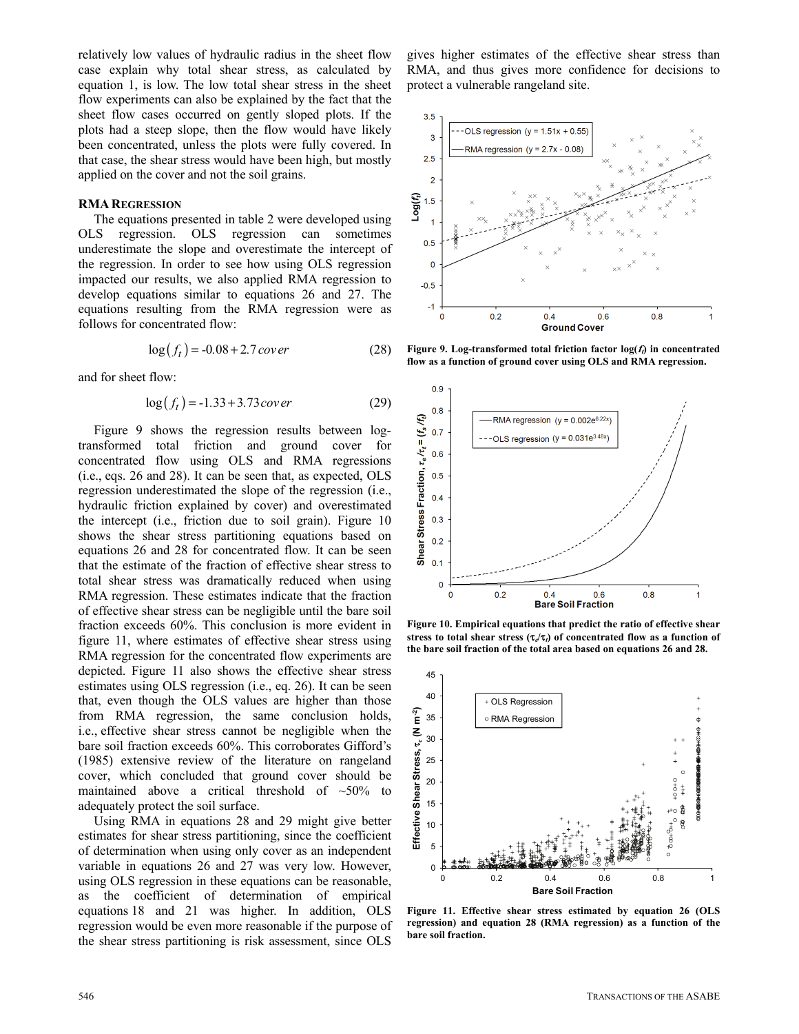relatively low values of hydraulic radius in the sheet flow case explain why total shear stress, as calculated by equation 1, is low. The low total shear stress in the sheet flow experiments can also be explained by the fact that the sheet flow cases occurred on gently sloped plots. If the plots had a steep slope, then the flow would have likely been concentrated, unless the plots were fully covered. In that case, the shear stress would have been high, but mostly applied on the cover and not the soil grains.

#### **RMA REGRESSION**

The equations presented in table 2 were developed using OLS regression. OLS regression can sometimes underestimate the slope and overestimate the intercept of the regression. In order to see how using OLS regression impacted our results, we also applied RMA regression to develop equations similar to equations 26 and 27. The equations resulting from the RMA regression were as follows for concentrated flow:

$$
\log(f_t) = -0.08 + 2.7 \, \text{cov}\,\text{er} \tag{28}
$$

and for sheet flow:

$$
\log(f_t) = -1.33 + 3.73 \, \text{cover} \tag{29}
$$

Figure 9 shows the regression results between logtransformed total friction and ground cover for concentrated flow using OLS and RMA regressions (i.e., eqs. 26 and 28). It can be seen that, as expected, OLS regression underestimated the slope of the regression (i.e., hydraulic friction explained by cover) and overestimated the intercept (i.e., friction due to soil grain). Figure 10 shows the shear stress partitioning equations based on equations 26 and 28 for concentrated flow. It can be seen that the estimate of the fraction of effective shear stress to total shear stress was dramatically reduced when using RMA regression. These estimates indicate that the fraction of effective shear stress can be negligible until the bare soil fraction exceeds 60%. This conclusion is more evident in figure 11, where estimates of effective shear stress using RMA regression for the concentrated flow experiments are depicted. Figure 11 also shows the effective shear stress estimates using OLS regression (i.e., eq. 26). It can be seen that, even though the OLS values are higher than those from RMA regression, the same conclusion holds, i.e., effective shear stress cannot be negligible when the bare soil fraction exceeds 60%. This corroborates Gifford's (1985) extensive review of the literature on rangeland cover, which concluded that ground cover should be maintained above a critical threshold of  $~50\%$  to adequately protect the soil surface.

Using RMA in equations 28 and 29 might give better estimates for shear stress partitioning, since the coefficient of determination when using only cover as an independent variable in equations 26 and 27 was very low. However, using OLS regression in these equations can be reasonable, as the coefficient of determination of empirical equations 18 and 21 was higher. In addition, OLS regression would be even more reasonable if the purpose of the shear stress partitioning is risk assessment, since OLS

gives higher estimates of the effective shear stress than RMA, and thus gives more confidence for decisions to protect a vulnerable rangeland site.



**Figure 9. Log-transformed total friction factor**  $log(f_i)$  **in concentrated flow as a function of ground cover using OLS and RMA regression.** 



**Figure 10. Empirical equations that predict the ratio of effective shear**  stress to total shear stress  $(\tau_c/\tau_t)$  of concentrated flow as a function of **the bare soil fraction of the total area based on equations 26 and 28.** 



**Figure 11. Effective shear stress estimated by equation 26 (OLS regression) and equation 28 (RMA regression) as a function of the bare soil fraction.**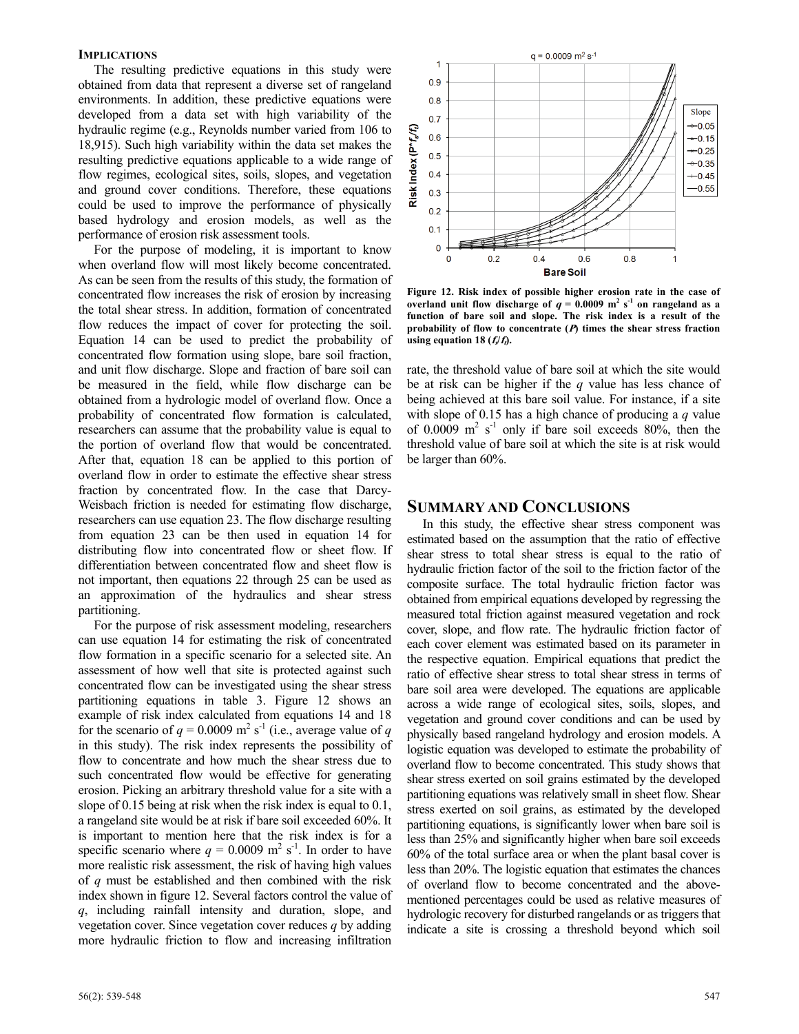#### **IMPLICATIONS**

The resulting predictive equations in this study were obtained from data that represent a diverse set of rangeland environments. In addition, these predictive equations were developed from a data set with high variability of the hydraulic regime (e.g., Reynolds number varied from 106 to 18,915). Such high variability within the data set makes the resulting predictive equations applicable to a wide range of flow regimes, ecological sites, soils, slopes, and vegetation and ground cover conditions. Therefore, these equations could be used to improve the performance of physically based hydrology and erosion models, as well as the performance of erosion risk assessment tools.

For the purpose of modeling, it is important to know when overland flow will most likely become concentrated. As can be seen from the results of this study, the formation of concentrated flow increases the risk of erosion by increasing the total shear stress. In addition, formation of concentrated flow reduces the impact of cover for protecting the soil. Equation 14 can be used to predict the probability of concentrated flow formation using slope, bare soil fraction, and unit flow discharge. Slope and fraction of bare soil can be measured in the field, while flow discharge can be obtained from a hydrologic model of overland flow. Once a probability of concentrated flow formation is calculated, researchers can assume that the probability value is equal to the portion of overland flow that would be concentrated. After that, equation 18 can be applied to this portion of overland flow in order to estimate the effective shear stress fraction by concentrated flow. In the case that Darcy-Weisbach friction is needed for estimating flow discharge, researchers can use equation 23. The flow discharge resulting from equation 23 can be then used in equation 14 for distributing flow into concentrated flow or sheet flow. If differentiation between concentrated flow and sheet flow is not important, then equations 22 through 25 can be used as an approximation of the hydraulics and shear stress partitioning.

For the purpose of risk assessment modeling, researchers can use equation 14 for estimating the risk of concentrated flow formation in a specific scenario for a selected site. An assessment of how well that site is protected against such concentrated flow can be investigated using the shear stress partitioning equations in table 3. Figure 12 shows an example of risk index calculated from equations 14 and 18 for the scenario of  $q = 0.0009$  m<sup>2</sup> s<sup>-1</sup> (i.e., average value of q in this study). The risk index represents the possibility of flow to concentrate and how much the shear stress due to such concentrated flow would be effective for generating erosion. Picking an arbitrary threshold value for a site with a slope of 0.15 being at risk when the risk index is equal to 0.1, a rangeland site would be at risk if bare soil exceeded 60%. It is important to mention here that the risk index is for a specific scenario where  $q = 0.0009$  m<sup>2</sup> s<sup>-1</sup>. In order to have more realistic risk assessment, the risk of having high values of *q* must be established and then combined with the risk index shown in figure 12. Several factors control the value of *q*, including rainfall intensity and duration, slope, and vegetation cover. Since vegetation cover reduces *q* by adding more hydraulic friction to flow and increasing infiltration



**Figure 12. Risk index of possible higher erosion rate in the case of overland unit flow discharge of**  $q = 0.0009$  **m<sup>2</sup> s<sup>-1</sup> on rangeland as a function of bare soil and slope. The risk index is a result of the probability of flow to concentrate (P) times the shear stress fraction using equation 18 (** $f/\hat{f}$ **).** 

rate, the threshold value of bare soil at which the site would be at risk can be higher if the *q* value has less chance of being achieved at this bare soil value. For instance, if a site with slope of 0.15 has a high chance of producing a *q* value of 0.0009  $m^2$  s<sup>-1</sup> only if bare soil exceeds 80%, then the threshold value of bare soil at which the site is at risk would be larger than 60%.

## **SUMMARY AND CONCLUSIONS**

In this study, the effective shear stress component was estimated based on the assumption that the ratio of effective shear stress to total shear stress is equal to the ratio of hydraulic friction factor of the soil to the friction factor of the composite surface. The total hydraulic friction factor was obtained from empirical equations developed by regressing the measured total friction against measured vegetation and rock cover, slope, and flow rate. The hydraulic friction factor of each cover element was estimated based on its parameter in the respective equation. Empirical equations that predict the ratio of effective shear stress to total shear stress in terms of bare soil area were developed. The equations are applicable across a wide range of ecological sites, soils, slopes, and vegetation and ground cover conditions and can be used by physically based rangeland hydrology and erosion models. A logistic equation was developed to estimate the probability of overland flow to become concentrated. This study shows that shear stress exerted on soil grains estimated by the developed partitioning equations was relatively small in sheet flow. Shear stress exerted on soil grains, as estimated by the developed partitioning equations, is significantly lower when bare soil is less than 25% and significantly higher when bare soil exceeds 60% of the total surface area or when the plant basal cover is less than 20%. The logistic equation that estimates the chances of overland flow to become concentrated and the abovementioned percentages could be used as relative measures of hydrologic recovery for disturbed rangelands or as triggers that indicate a site is crossing a threshold beyond which soil